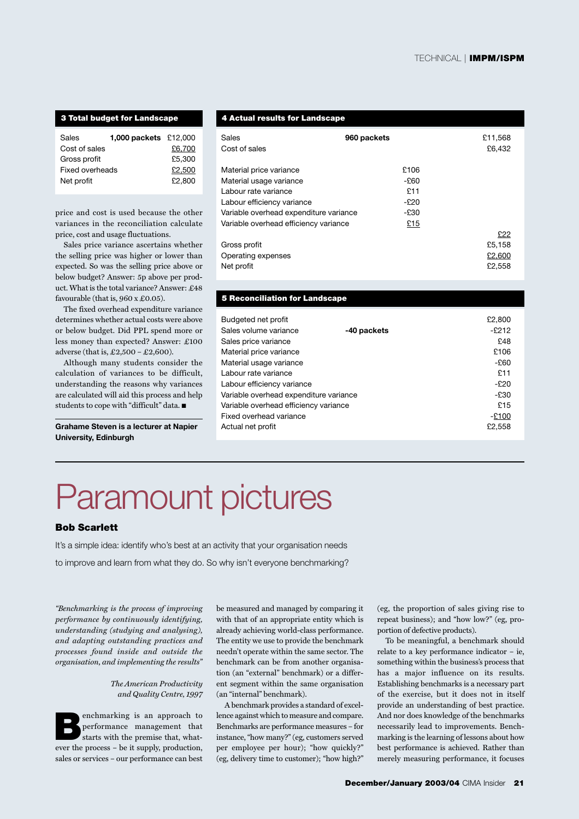### **3 Total budget for Landscape**

| Sales           | 1,000 packets £12,000 |        |
|-----------------|-----------------------|--------|
| Cost of sales   |                       | £6.700 |
| Gross profit    |                       | £5,300 |
| Fixed overheads |                       | £2.500 |
| Net profit      |                       | £2,800 |
|                 |                       |        |

price and cost is used because the other variances in the reconciliation calculate price, cost and usage fluctuations.

Sales price variance ascertains whether the selling price was higher or lower than expected. So was the selling price above or below budget? Answer: 5p above per product. What is the total variance? Answer: £48 favourable (that is,  $960 \times £0.05$ ).

The fixed overhead expenditure variance determines whether actual costs were above or below budget. Did PPL spend more or less money than expected? Answer: £100 adverse (that is, £2,500 – £2,600).

Although many students consider the calculation of variances to be difficult, understanding the reasons why variances are calculated will aid this process and help students to cope with "difficult" data. ■

**Grahame Steven is a lecturer at Napier University, Edinburgh**

#### **4 Actual results for Landscape**

| Sales<br>Cost of sales                 | 960 packets | £11,568<br>£6,432 |
|----------------------------------------|-------------|-------------------|
| Material price variance                | £106        |                   |
| Material usage variance                | -£60        |                   |
| Labour rate variance                   | £11         |                   |
| Labour efficiency variance             | $-E20$      |                   |
| Variable overhead expenditure variance | -£30        |                   |
| Variable overhead efficiency variance  | £15         |                   |
|                                        |             | £22               |
| Gross profit                           |             | £5,158            |
| Operating expenses                     |             | £2,600            |
| Net profit                             |             | £2.558            |
|                                        |             |                   |

### **5 Reconciliation for Landscape**

| Budgeted net profit                    |             | £2,800  |
|----------------------------------------|-------------|---------|
| Sales volume variance                  | -40 packets | $-£212$ |
| Sales price variance                   |             | £48     |
| Material price variance                |             | £106    |
| Material usage variance                |             | $-E60$  |
| Labour rate variance                   |             | £11     |
| Labour efficiency variance             | $-E20$      |         |
| Variable overhead expenditure variance | $-E30$      |         |
| Variable overhead efficiency variance  | £15         |         |
| Fixed overhead variance                | $-£100$     |         |
| Actual net profit                      |             | £2,558  |
|                                        |             |         |

# Paramount pictures

## **Bob Scarlett**

It's a simple idea: identify who's best at an activity that your organisation needs to improve and learn from what they do. So why isn't everyone benchmarking?

*"Benchmarking is the process of improving performance by continuously identifying, understanding (studying and analysing), and adapting outstanding practices and processes found inside and outside the organisation, and implementing the results"* 

### *The American Productivity and Quality Centre, 1997*

**B**enchmarking is an approach to performance management that starts with the premise that, whatever the process – be it supply, production, sales or services – our performance can best

be measured and managed by comparing it with that of an appropriate entity which is already achieving world-class performance. The entity we use to provide the benchmark needn't operate within the same sector. The benchmark can be from another organisation (an "external" benchmark) or a different segment within the same organisation (an "internal" benchmark).

A benchmark provides a standard of excellence against which to measure and compare. Benchmarks are performance measures – for instance, "how many?" (eg, customers served per employee per hour); "how quickly?" (eg, delivery time to customer); "how high?"

(eg, the proportion of sales giving rise to repeat business); and "how low?" (eg, proportion of defective products).

To be meaningful, a benchmark should relate to a key performance indicator – ie, something within the business's process that has a major influence on its results. Establishing benchmarks is a necessary part of the exercise, but it does not in itself provide an understanding of best practice. And nor does knowledge of the benchmarks necessarily lead to improvements. Benchmarking is the learning of lessons about how best performance is achieved. Rather than merely measuring performance, it focuses